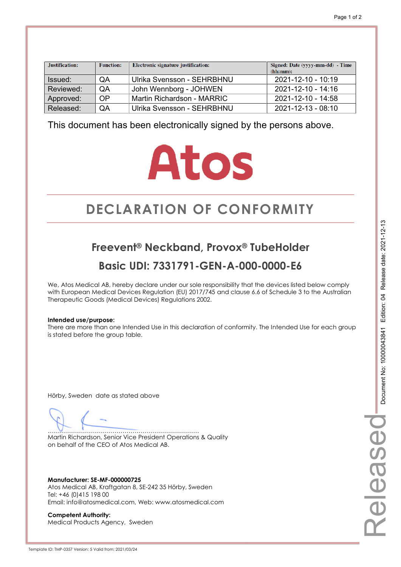| Justification: | <b>Function:</b> | Electronic signature justification: | Signed: Date (yyyy-mm-dd) - Time<br>(hh:mm): |
|----------------|------------------|-------------------------------------|----------------------------------------------|
| Issued:        | QA               | Ulrika Svensson - SEHRBHNU          | 2021-12-10 - 10:19                           |
| Reviewed:      | QA               | John Wennborg - JOHWEN              | $2021 - 12 - 10 - 14.16$                     |
| Approved:      | OP               | Martin Richardson - MARRIC          | 2021-12-10 - 14:58                           |
| Released:      | QA               | Ulrika Svensson - SEHRBHNU          | 2021-12-13 - 08:10                           |

# **Atos**

# **DECLARATION OF CONFORMITY CONFORMITY**

## **Freevent® Neckband, Provox® TubeHolder Basic UDI: 7331791-GEN-A-000-0000-E6**

We, Atos Medical AB, hereby declare under our sole responsibility that the devices listed below comply with European Medical Devices Regulation (EU) 2017/745 and clause 6.6 of Schedule 3 to the Australian Therapeutic Goods (Medical Devices) Regulations 2002.

#### **Intended use/purpose:**

There are more than one Intended Use in this declaration of conformity. The Intended Use for each group is stated before the group table.

Hörby, Sweden date as stated above

………………………………………………………………… Martin Richardson, Senior Vice President Operations & Quality on behalf of the CEO of Atos Medical AB.

**Manufacturer: SE-MF-000000725**  Atos Medical AB, Kraftgatan 8, SE-242 35 Hörby, Sweden Tel: +46 (0)415 198 00 Email: info@atosmedical.com, Web: www.atosmedical.com

**Competent Authority:**  Medical Products Agency, Sweden Released

elease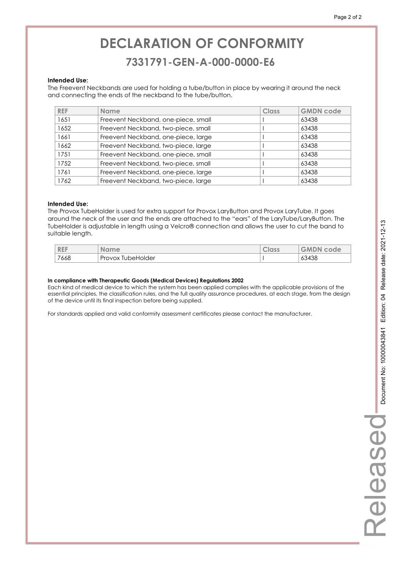## **DECLARATION OF CONFORMITY CONFORMITY 7331791-GEN-A-000-0000-E6 7331791-GEN-A-000-0000-E6**

#### **Intended Use:**

The Freevent Neckbands are used for holding a tube/button in place by wearing it around the neck and connecting the ends of the neckband to the tube/button.

| <b>REF</b> | <b>Name</b>                         | Class | <b>GMDN</b> code |
|------------|-------------------------------------|-------|------------------|
| 1651       | Freevent Neckband, one-piece, small |       | 63438            |
| 1652       | Freevent Neckband, two-piece, small |       | 63438            |
| 1661       | Freevent Neckband, one-piece, large |       | 63438            |
| 1662       | Freevent Neckband, two-piece, large |       | 63438            |
| 1751       | Freevent Neckband, one-piece, small |       | 63438            |
| 1752       | Freevent Neckband, two-piece, small |       | 63438            |
| 1761       | Freevent Neckband, one-piece, large |       | 63438            |
| 1762       | Freevent Neckband, two-piece, large |       | 63438            |

#### **Intended Use:**

The Provox TubeHolder is used for extra support for Provox LaryButton and Provox LaryTube. It goes around the neck of the user and the ends are attached to the "ears" of the LaryTube/LaryButton. The TubeHolder is adjustable in length using a Velcro® connection and allows the user to cut the band to suitable length.

| <b>REF</b> | ame<br>NO.           | A<br><b>UIUSS</b> | A <sub>m</sub><br>code<br>GMDN |
|------------|----------------------|-------------------|--------------------------------|
| 7668       | Provox<br>TubeHolder |                   | 63438                          |

#### **In compliance with Therapeutic Goods (Medical Devices) Regulations 2002**

Each kind of medical device to which the system has been applied complies with the applicable provisions of the essential principles, the classification rules, and the full quality assurance procedures, at each stage, from the design of the device until its final inspection before being supplied.

For standards applied and valid conformity assessment certificates please contact the manufacturer.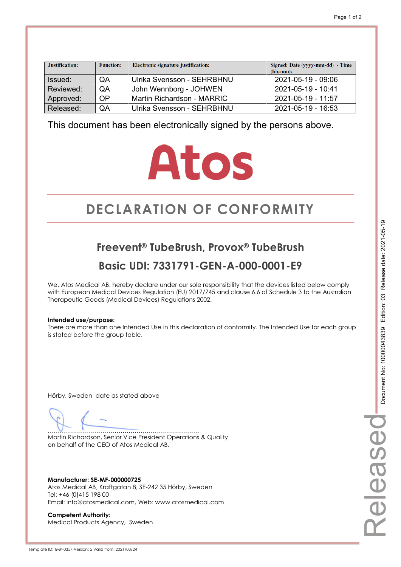| Justification: | <b>Function:</b> | Electronic signature justification: | Signed: Date (yyyy-mm-dd) - Time<br>(hh:mm): |
|----------------|------------------|-------------------------------------|----------------------------------------------|
| Issued:        | QA               | Ulrika Svensson - SEHRBHNU          | 2021-05-19 - 09:06                           |
| Reviewed:      | QA               | John Wennborg - JOHWEN              | 2021-05-19 - 10:41                           |
| Approved:      | OP               | Martin Richardson - MARRIC          | 2021-05-19 - 11:57                           |
| Released:      | QA               | Ulrika Svensson - SEHRBHNU          | 2021-05-19 - 16:53                           |

# **Atos**

# **DECLARATION OF CONFORMITY CONFORMITY**

## **Freevent® TubeBrush, Provox® TubeBrush Basic UDI: 7331791-GEN-A-000-0001-E9**

We, Atos Medical AB, hereby declare under our sole responsibility that the devices listed below comply with European Medical Devices Regulation (EU) 2017/745 and clause 6.6 of Schedule 3 to the Australian Therapeutic Goods (Medical Devices) Regulations 2002.

#### **Intended use/purpose:**

There are more than one Intended Use in this declaration of conformity. The Intended Use for each group is stated before the group table.

Hörby, Sweden date as stated above

………………………………………………………………… Martin Richardson, Senior Vice President Operations & Quality on behalf of the CEO of Atos Medical AB.

**Manufacturer: SE-MF-000000725**  Atos Medical AB, Kraftgatan 8, SE-242 35 Hörby, Sweden Tel: +46 (0)415 198 00 Email: info@atosmedical.com, Web: www.atosmedical.com

**Competent Authority:**  Medical Products Agency, Sweden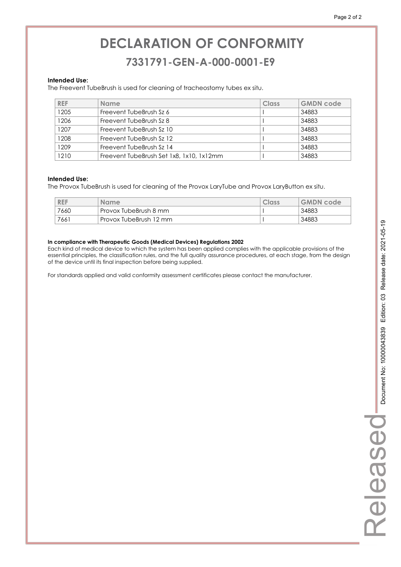### **7331791-GEN-A-000-0001-E9 7331791-GEN-A-000-0001-E9**

#### **Intended Use:**

The Freevent TubeBrush is used for cleaning of tracheostomy tubes ex situ.

| <b>REF</b> | <b>Name</b>                              | Class | <b>GMDN</b> code |
|------------|------------------------------------------|-------|------------------|
| 1205       | Freevent TubeBrush Sz 6                  |       | 34883            |
| 1206       | Freevent TubeBrush Sz 8                  |       | 34883            |
| 1207       | Freevent TubeBrush Sz 10                 |       | 34883            |
| 1208       | Freevent TubeBrush Sz 12                 |       | 34883            |
| 1209       | Freevent TubeBrush Sz 14                 |       | 34883            |
| 1210       | Freevent TubeBrush Set 1x8, 1x10, 1x12mm |       | 34883            |

#### **Intended Use:**

The Provox TubeBrush is used for cleaning of the Provox LaryTube and Provox LaryButton ex situ.

| <b>REF</b> | <b>Name</b>              | Class | <b>GMDN</b> code |
|------------|--------------------------|-------|------------------|
| 7660       | Provox TubeBrush 8 mm    |       | 34883            |
| 7661       | ' Provox TubeBrush 12 mm |       | 34883            |

#### **In compliance with Therapeutic Goods (Medical Devices) Regulations 2002**

Each kind of medical device to which the system has been applied complies with the applicable provisions of the essential principles, the classification rules, and the full quality assurance procedures, at each stage, from the design of the device until its final inspection before being supplied.

For standards applied and valid conformity assessment certificates please contact the manufacturer.

Released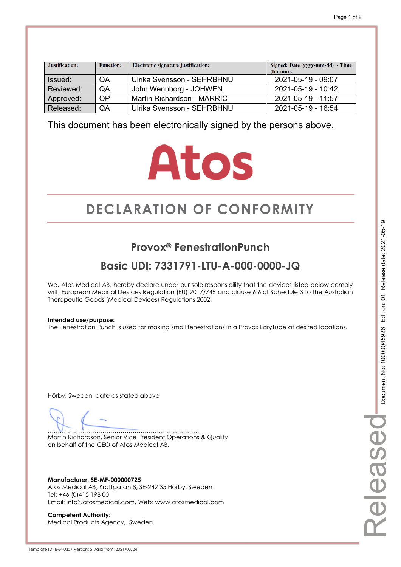| Justification: | <b>Function:</b> | Electronic signature justification: | Signed: Date (yyyy-mm-dd) - Time<br>(hh:mm): |
|----------------|------------------|-------------------------------------|----------------------------------------------|
| Issued:        | QA               | Ulrika Svensson - SEHRBHNU          | 2021-05-19 - 09:07                           |
| Reviewed:      | QA               | John Wennborg - JOHWEN              | 2021-05-19 - 10:42                           |
| Approved:      | OP               | Martin Richardson - MARRIC          | $2021 - 05 - 19 - 11.57$                     |
| Released:      | QA               | Ulrika Svensson - SEHRBHNU          | 2021-05-19 - 16:54                           |

# **Atos**

# **DECLARATION OF CONFORMITY CONFORMITY**

## **Provox® FenestrationPunch**

## **Basic UDI: 7331791-LTU-A-000-0000-JQ**

We, Atos Medical AB, hereby declare under our sole responsibility that the devices listed below comply with European Medical Devices Regulation (EU) 2017/745 and clause 6.6 of Schedule 3 to the Australian Therapeutic Goods (Medical Devices) Regulations 2002.

#### **Intended use/purpose:**

The Fenestration Punch is used for making small fenestrations in a Provox LaryTube at desired locations.

Hörby, Sweden date as stated above

………………………………………………………………… Martin Richardson, Senior Vice President Operations & Quality on behalf of the CEO of Atos Medical AB.

**Manufacturer: SE-MF-000000725**  Atos Medical AB, Kraftgatan 8, SE-242 35 Hörby, Sweden Tel: +46 (0)415 198 00 Email: info@atosmedical.com, Web: www.atosmedical.com

**Competent Authority:**  Medical Products Agency, Sweden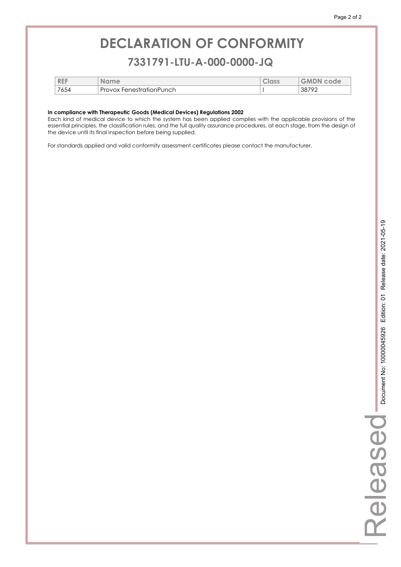### **7331791-LTU-A-000-0000-JQ 7331791-LTU-A-000-0000-JQ**

| <b>REF</b> | <b>Name</b>                   | <b>CIUSS</b> | <b>GMDN</b><br>code |
|------------|-------------------------------|--------------|---------------------|
| 7654       | Provox<br>: FenestrationPunch |              | .3879 <sup>°</sup>  |

#### **In compliance with Therapeutic Goods (Medical Devices) Regulations 2002**

Each kind of medical device to which the system has been applied complies with the applicable provisions of the essential principles, the classification rules, and the full quality assurance procedures, at each stage, from the design of the device until its final inspection before being supplied.

For standards applied and valid conformity assessment certificates please contact the manufacturer.

L.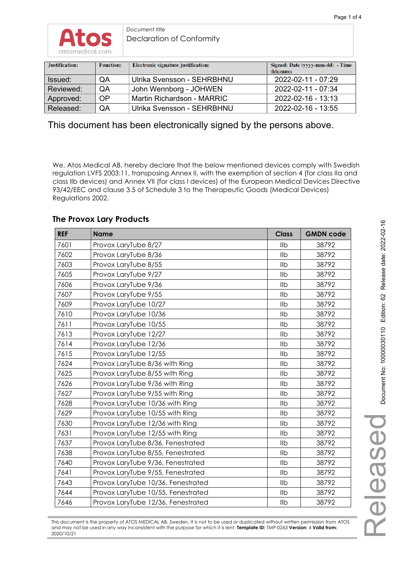

*Document title*  Declaration of Conformity

| Justification: | <b>Function:</b> | Electronic signature justification: | Signed: Date (yyyy-mm-dd) - Time<br>(hh:mm): |
|----------------|------------------|-------------------------------------|----------------------------------------------|
| Issued:        | QA               | Ulrika Svensson - SEHRBHNU          | 2022-02-11 - 07:29                           |
| Reviewed:      | <b>OA</b>        | John Wennborg - JOHWEN              | 2022-02-11 - 07:34                           |
| Approved:      | <b>OP</b>        | Martin Richardson - MARRIC          | 2022-02-16 - 13:13                           |
| Released:      | QA               | Ulrika Svensson - SEHRBHNU          | 2022-02-16 - 13:55                           |

This document has been electronically signed by the persons above.

We, Atos Medical AB, hereby declare that the below mentioned devices comply with Swedish regulation LVFS 2003:11, transposing Annex II, with the exemption of section 4 (for class IIa and class IIb devices) and Annex VII (for class I devices) of the European Medical Devices Directive 93/42/EEC and clause 3.5 of Schedule 3 to the Therapeutic Goods (Medical Devices) Regulations 2002.

#### **The Provox Lary Products**

| <b>REF</b> | <b>Name</b>                        | <b>Class</b> | <b>GMDN code</b> |
|------------|------------------------------------|--------------|------------------|
| 7601       | Provox LaryTube 8/27               | llb          | 38792            |
| 7602       | Provox LaryTube 8/36               | <b>IIb</b>   | 38792            |
| 7603       | Provox LaryTube 8/55               | <b>IIb</b>   | 38792            |
| 7605       | Provox LaryTube 9/27               | <b>IIb</b>   | 38792            |
| 7606       | Provox LaryTube 9/36               | Ilb          | 38792            |
| 7607       | Provox LaryTube 9/55               | <b>IIb</b>   | 38792            |
| 7609       | Provox LaryTube 10/27              | IIb          | 38792            |
| 7610       | Provox LaryTube 10/36              | <b>IIb</b>   | 38792            |
| 7611       | Provox LaryTube 10/55              | <b>IIb</b>   | 38792            |
| 7613       | Provox LaryTube 12/27              | IIb          | 38792            |
| 7614       | Provox LaryTube 12/36              | Ilb          | 38792            |
| 7615       | Provox LaryTube 12/55              | <b>IIb</b>   | 38792            |
| 7624       | Provox LaryTube 8/36 with Ring     | <b>IIb</b>   | 38792            |
| 7625       | Provox LaryTube 8/55 with Ring     | Ilb          | 38792            |
| 7626       | Provox LaryTube 9/36 with Ring     | <b>IIb</b>   | 38792            |
| 7627       | Provox LaryTube 9/55 with Ring     | Ilb          | 38792            |
| 7628       | Provox LaryTube 10/36 with Ring    | <b>IIb</b>   | 38792            |
| 7629       | Provox LaryTube 10/55 with Ring    | <b>IIb</b>   | 38792            |
| 7630       | Provox LaryTube 12/36 with Ring    | Ilb          | 38792            |
| 7631       | Provox LaryTube 12/55 with Ring    | Ilb          | 38792            |
| 7637       | Provox LaryTube 8/36, Fenestrated  | <b>IIb</b>   | 38792            |
| 7638       | Provox LaryTube 8/55, Fenestrated  | llb          | 38792            |
| 7640       | Provox LaryTube 9/36, Fenestrated  | Ilb          | 38792            |
| 7641       | Provox LaryTube 9/55, Fenestrated  | <b>IIb</b>   | 38792            |
| 7643       | Provox LaryTube 10/36, Fenestrated | <b>IIb</b>   | 38792            |
| 7644       | Provox LaryTube 10/55, Fenestrated | <b>IIb</b>   | 38792            |
| 7646       | Provox LaryTube 12/36, Fenestrated | <b>IIb</b>   | 38792            |

This document is the property of ATOS MEDICAL AB, Sweden. It is not to be used or duplicated without written permission from ATOS and may not be used in any way inconsistent with the purpose for which it is lent. **Template ID:** TMP-0263 **Version:** 4 **Valid from:** 2020/10/21

Released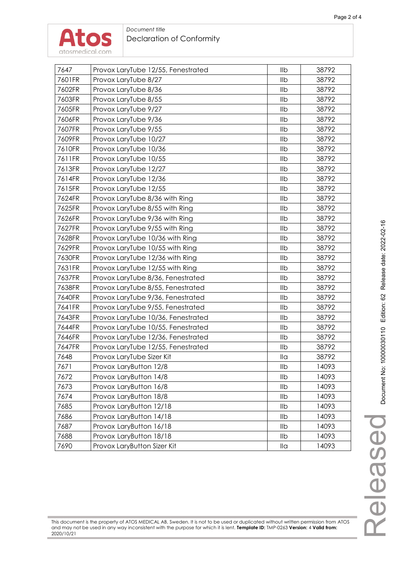

#### *Document title*  Declaration of Conformity

| 7647   | Provox LaryTube 12/55, Fenestrated | IIb                  | 38792 |
|--------|------------------------------------|----------------------|-------|
| 7601FR | Provox LaryTube 8/27               | IIb                  | 38792 |
| 7602FR | Provox LaryTube 8/36               | IIb                  | 38792 |
| 7603FR | Provox LaryTube 8/55               | IIb                  | 38792 |
| 7605FR | Provox LaryTube 9/27               | Ilb                  | 38792 |
| 7606FR | Provox LaryTube 9/36               | Ilb                  | 38792 |
| 7607FR | Provox LaryTube 9/55               | IIb                  | 38792 |
| 7609FR | Provox LaryTube 10/27              | IIb                  | 38792 |
| 7610FR | Provox LaryTube 10/36              | IIb                  | 38792 |
| 7611FR | Provox LaryTube 10/55              | IIb                  | 38792 |
| 7613FR | Provox LaryTube 12/27              | IIb                  | 38792 |
| 7614FR | Provox LaryTube 12/36              | IIb                  | 38792 |
| 7615FR | Provox LaryTube 12/55              | IIb                  | 38792 |
| 7624FR | Provox LaryTube 8/36 with Ring     | IIb                  | 38792 |
| 7625FR | Provox LaryTube 8/55 with Ring     | IIb                  | 38792 |
| 7626FR | Provox LaryTube 9/36 with Ring     | IIb                  | 38792 |
| 7627FR | Provox LaryTube 9/55 with Ring     | IIb                  | 38792 |
| 7628FR | Provox LaryTube 10/36 with Ring    | IIb                  | 38792 |
| 7629FR | Provox LaryTube 10/55 with Ring    | IIb                  | 38792 |
| 7630FR | Provox LaryTube 12/36 with Ring    | IIb                  | 38792 |
| 7631FR | Provox LaryTube 12/55 with Ring    | IIb                  | 38792 |
| 7637FR | Provox LaryTube 8/36, Fenestrated  | IIb                  | 38792 |
| 7638FR | Provox LaryTube 8/55, Fenestrated  | IIb                  | 38792 |
| 7640FR | Provox LaryTube 9/36, Fenestrated  | IIb                  | 38792 |
| 7641FR | Provox LaryTube 9/55, Fenestrated  | IIb                  | 38792 |
| 7643FR | Provox LaryTube 10/36, Fenestrated | IIb                  | 38792 |
| 7644FR | Provox LaryTube 10/55, Fenestrated | Ilb                  | 38792 |
| 7646FR | Provox LaryTube 12/36, Fenestrated | IIb                  | 38792 |
| 7647FR | Provox LaryTube 12/55, Fenestrated | IIb                  | 38792 |
| 7648   | Provox LaryTube Sizer Kit          | $\mathsf{II} \alpha$ | 38792 |
| 7671   | Provox LaryButton 12/8             | IIb                  | 14093 |
| 7672   | Provox LaryButton 14/8             | IIb                  | 14093 |
| 7673   | Provox LaryButton 16/8             | IIb                  | 14093 |
| 7674   | Provox LaryButton 18/8             | IIb                  | 14093 |
| 7685   | Provox LaryButton 12/18            | IIb                  | 14093 |
| 7686   | Provox LaryButton 14/18            | IIb                  | 14093 |
| 7687   | Provox LaryButton 16/18            | IIb                  | 14093 |
| 7688   | Provox LaryButton 18/18            | IIb                  | 14093 |
| 7690   | Provox LaryButton Sizer Kit        | $\mathsf{II} \alpha$ | 14093 |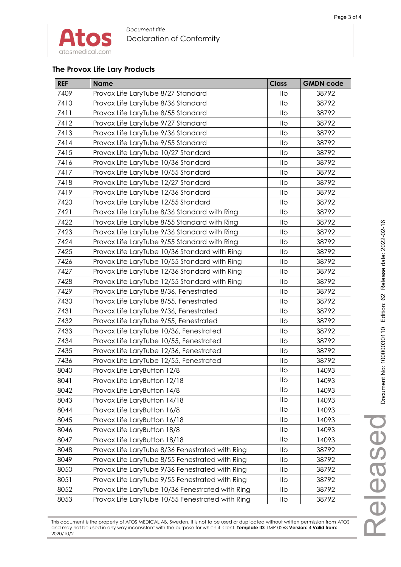#### **The Provox Life Lary Products**

| <b>REF</b> | <b>Name</b>                                      | <b>Class</b> | <b>GMDN code</b> |
|------------|--------------------------------------------------|--------------|------------------|
| 7409       | Provox Life LaryTube 8/27 Standard               | IIb          | 38792            |
| 7410       | Provox Life LaryTube 8/36 Standard               | Ilb          | 38792            |
| 7411       | Provox Life LaryTube 8/55 Standard               | IIb          | 38792            |
| 7412       | Provox Life LaryTube 9/27 Standard               | Ilb          | 38792            |
| 7413       | Provox Life LaryTube 9/36 Standard               | Ilb          | 38792            |
| 7414       | Provox Life LaryTube 9/55 Standard               | Ilb          | 38792            |
| 7415       | Provox Life LaryTube 10/27 Standard              | Ilb          | 38792            |
| 7416       | Provox Life LaryTube 10/36 Standard              | IIb          | 38792            |
| 7417       | Provox Life LaryTube 10/55 Standard              | Ilb          | 38792            |
| 7418       | Provox Life LaryTube 12/27 Standard              | Ilb          | 38792            |
| 7419       | Provox Life LaryTube 12/36 Standard              | Ilb          | 38792            |
| 7420       | Provox Life LaryTube 12/55 Standard              | IIb          | 38792            |
| 7421       | Provox Life LaryTube 8/36 Standard with Ring     | Ilb          | 38792            |
| 7422       | Provox Life LaryTube 8/55 Standard with Ring     | IIb          | 38792            |
| 7423       | Provox Life LaryTube 9/36 Standard with Ring     | Ilb          | 38792            |
| 7424       | Provox Life LaryTube 9/55 Standard with Ring     | Ilb          | 38792            |
| 7425       | Provox Life LaryTube 10/36 Standard with Ring    | IIb          | 38792            |
| 7426       | Provox Life LaryTube 10/55 Standard with Ring    | Ilb          | 38792            |
| 7427       | Provox Life LaryTube 12/36 Standard with Ring    | Ilb          | 38792            |
| 7428       | Provox Life LaryTube 12/55 Standard with Ring    | Ilb          | 38792            |
| 7429       | Provox Life LaryTube 8/36, Fenestrated           | IIb          | 38792            |
| 7430       | Provox Life LaryTube 8/55, Fenestrated           | IIb          | 38792            |
| 7431       | Provox Life LaryTube 9/36, Fenestrated           | IIb          | 38792            |
| 7432       | Provox Life LaryTube 9/55, Fenestrated           | Ilb          | 38792            |
| 7433       | Provox Life LaryTube 10/36, Fenestrated          | IIb          | 38792            |
| 7434       | Provox Life LaryTube 10/55, Fenestrated          | IIb          | 38792            |
| 7435       | Provox Life LaryTube 12/36, Fenestrated          | Ilb          | 38792            |
| 7436       | Provox Life LaryTube 12/55, Fenestrated          | Ilb          | 38792            |
| 8040       | Provox Life LaryButton 12/8                      | Ilb          | 14093            |
| 8041       | Provox Life LaryButton 12/18                     | Ilb          | 14093            |
| 8042       | Provox Life LaryButton 14/8                      | llb          | 14093            |
| 8043       | Provox Life LaryButton 14/18                     | IIb          | 14093            |
| 8044       | Provox Life LaryButton 16/8                      | Ilb          | 14093            |
| 8045       | Provox Life LaryButton 16/18                     | IIb          | 14093            |
| 8046       | Provox Life LaryButton 18/8                      | IIb          | 14093            |
| 8047       | Provox Life LaryButton 18/18                     | Ilb          | 14093            |
| 8048       | Provox Life LaryTube 8/36 Fenestrated with Ring  | IIb          | 38792            |
| 8049       | Provox Life LaryTube 8/55 Fenestrated with Ring  | Ilb          | 38792            |
| 8050       | Provox Life LaryTube 9/36 Fenestrated with Ring  | Ilb          | 38792            |
| 8051       | Provox Life LaryTube 9/55 Fenestrated with Ring  | IIb          | 38792            |
| 8052       | Provox Life LaryTube 10/36 Fenestrated with Ring | IIb          | 38792            |
| 8053       | Provox Life LaryTube 10/55 Fenestrated with Ring | llb          | 38792            |

This document is the property of ATOS MEDICAL AB, Sweden. It is not to be used or duplicated without written permission from ATOS and may not be used in any way inconsistent with the purpose for which it is lent. **Template ID:** TMP-0263 **Version:** 4 **Valid from:** 2020/10/21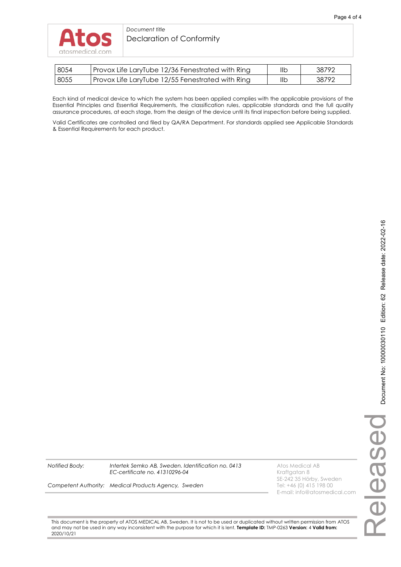#### *Document title*  Declaration of Conformity

| 8054 | Provox Life LaryTube 12/36 Fenestrated with Ring | IIb | 38792 |
|------|--------------------------------------------------|-----|-------|
| 8055 | Provox Life LaryTube 12/55 Fenestrated with Ring | llb | 38792 |

Each kind of medical device to which the system has been applied complies with the applicable provisions of the Essential Principles and Essential Requirements, the classification rules, applicable standards and the full quality assurance procedures, at each stage, from the design of the device until its final inspection before being supplied.

Valid Certificates are controlled and filed by QA/RA Department. For standards applied see Applicable Standards & Essential Requirements for each product.

**Notified Body: Intertek Semko AB, Sweden. Identification no. 0413** Atos Medical AB<br>**EC-certificate no. 41310296-04** Atoms Analysis Araftgatan 8 *EC-certificate no. 41310296-04* 

SE-242 35 Hörby, Sweden<br>Tel: +46 (0) 415 198 00 E-mail: info@atosmedical.com

*Competent Authority: Medical Products Agency, Sweden* 

This document is the property of ATOS MEDICAL AB, Sweden. It is not to be used or duplicated without written permission from ATOS and may not be used in any way inconsistent with the purpose for which it is lent. **Template ID:** TMP-0263 **Version:** 4 **Valid from:** 2020/10/21

Released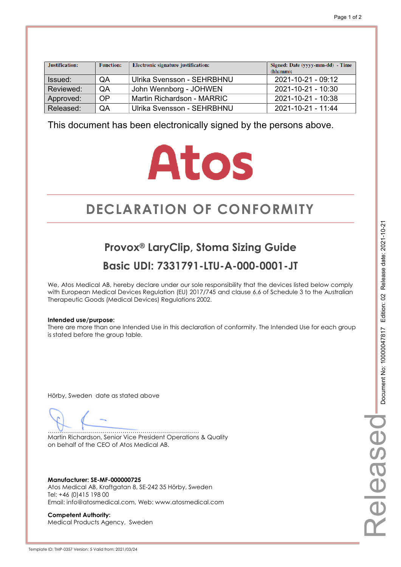| Justification: | <b>Function:</b> | Electronic signature justification: | Signed: Date (yyyy-mm-dd) - Time<br>(hh:mm): |
|----------------|------------------|-------------------------------------|----------------------------------------------|
| Issued:        | QA               | Ulrika Svensson - SEHRBHNU          | 2021-10-21 - 09:12                           |
| Reviewed:      | QA               | John Wennborg - JOHWEN              | 2021-10-21 - 10:30                           |
| Approved:      | OP               | Martin Richardson - MARRIC          | 2021-10-21 - 10:38                           |
| Released:      | QA               | Ulrika Svensson - SEHRBHNU          | 2021-10-21 - 11:44                           |

# **Atos**

# **DECLARATION OF CONFORMITY CONFORMITY**

**Provox® LaryClip, Stoma Sizing Guide Basic UDI: 7331791-LTU-A-000-0001-JT** 

We, Atos Medical AB, hereby declare under our sole responsibility that the devices listed below comply with European Medical Devices Regulation (EU) 2017/745 and clause 6.6 of Schedule 3 to the Australian Therapeutic Goods (Medical Devices) Regulations 2002.

#### **Intended use/purpose:**

There are more than one Intended Use in this declaration of conformity. The Intended Use for each group is stated before the group table.

Hörby, Sweden date as stated above

………………………………………………………………… Martin Richardson, Senior Vice President Operations & Quality on behalf of the CEO of Atos Medical AB.

**Manufacturer: SE-MF-000000725**  Atos Medical AB, Kraftgatan 8, SE-242 35 Hörby, Sweden Tel: +46 (0)415 198 00 Email: info@atosmedical.com, Web: www.atosmedical.com

**Competent Authority:**  Medical Products Agency, Sweden Released

eleasec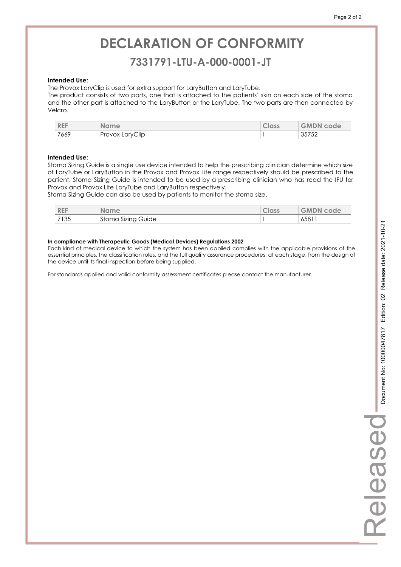### **7331791-LTU-A-000-0001-JT 7331791-LTU-A-000-0001-JT**

#### **Intended Use:**

The Provox LaryClip is used for extra support for LaryButton and LaryTube.

The product consists of two parts, one that is attached to the patients' skin on each side of the stoma and the other part is attached to the LaryButton or the LaryTube. The two parts are then connected by Velcro.

| <b>REF</b> |      | <b>Name</b>     | <b>CIOSS</b> | <b>GMDN</b><br>code |
|------------|------|-----------------|--------------|---------------------|
|            | 7669 | Provox LaryClip |              | つよフょつ<br>35752      |

#### **Intended Use:**

Stoma Sizing Guide is a single use device intended to help the prescribing clinician determine which size of LaryTube or LaryButton in the Provox and Provox Life range respectively should be prescribed to the patient. Stoma Sizing Guide is intended to be used by a prescribing clinician who has read the IFU for Provox and Provox Life LaryTube and LaryButton respectively.

Stoma Sizing Guide can also be used by patients to monitor the stoma size.

| <b>REF</b> | ame<br>NO.            | Class | <b>GMDN</b><br>code |
|------------|-----------------------|-------|---------------------|
| 7135       | Stoma Sizing<br>Guide |       | 6581                |

#### **In compliance with Therapeutic Goods (Medical Devices) Regulations 2002**

Each kind of medical device to which the system has been applied complies with the applicable provisions of the essential principles, the classification rules, and the full quality assurance procedures, at each stage, from the design of the device until its final inspection before being supplied.

For standards applied and valid conformity assessment certificates please contact the manufacturer.

Released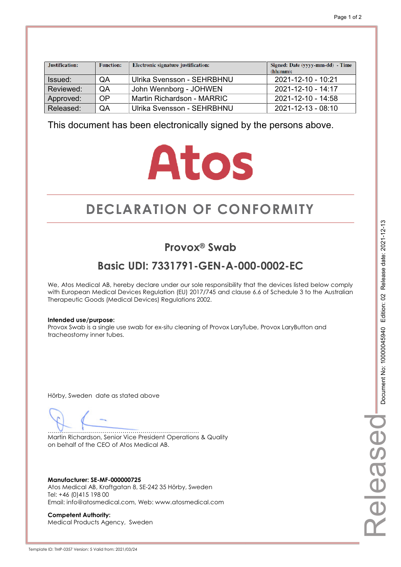| Justification: | <b>Function:</b> | Electronic signature justification: | Signed: Date (yyyy-mm-dd) - Time<br>(hh:mm): |
|----------------|------------------|-------------------------------------|----------------------------------------------|
| Issued:        | QA               | Ulrika Svensson - SEHRBHNU          | 2021-12-10 - 10:21                           |
| Reviewed:      | QA               | John Wennborg - JOHWEN              | $2021 - 12 - 10 - 14:17$                     |
| Approved:      | 0P               | Martin Richardson - MARRIC          | 2021-12-10 - 14:58                           |
| Released:      | QA               | Ulrika Svensson - SEHRBHNU          | 2021-12-13 - 08:10                           |

# **Atos**

# **DECLARATION OF CONFORMITY CONFORMITY**

### **Provox® Swab**

## **Basic UDI: 7331791-GEN-A-000-0002-EC**

We, Atos Medical AB, hereby declare under our sole responsibility that the devices listed below comply with European Medical Devices Regulation (EU) 2017/745 and clause 6.6 of Schedule 3 to the Australian Therapeutic Goods (Medical Devices) Regulations 2002.

#### **Intended use/purpose:**

Provox Swab is a single use swab for ex-situ cleaning of Provox LaryTube, Provox LaryButton and tracheostomy inner tubes.

Hörby, Sweden date as stated above

………………………………………………………………… Martin Richardson, Senior Vice President Operations & Quality on behalf of the CEO of Atos Medical AB.

**Manufacturer: SE-MF-000000725**  Atos Medical AB, Kraftgatan 8, SE-242 35 Hörby, Sweden Tel: +46 (0)415 198 00 Email: info@atosmedical.com, Web: www.atosmedical.com

**Competent Authority:**  Medical Products Agency, Sweden Released